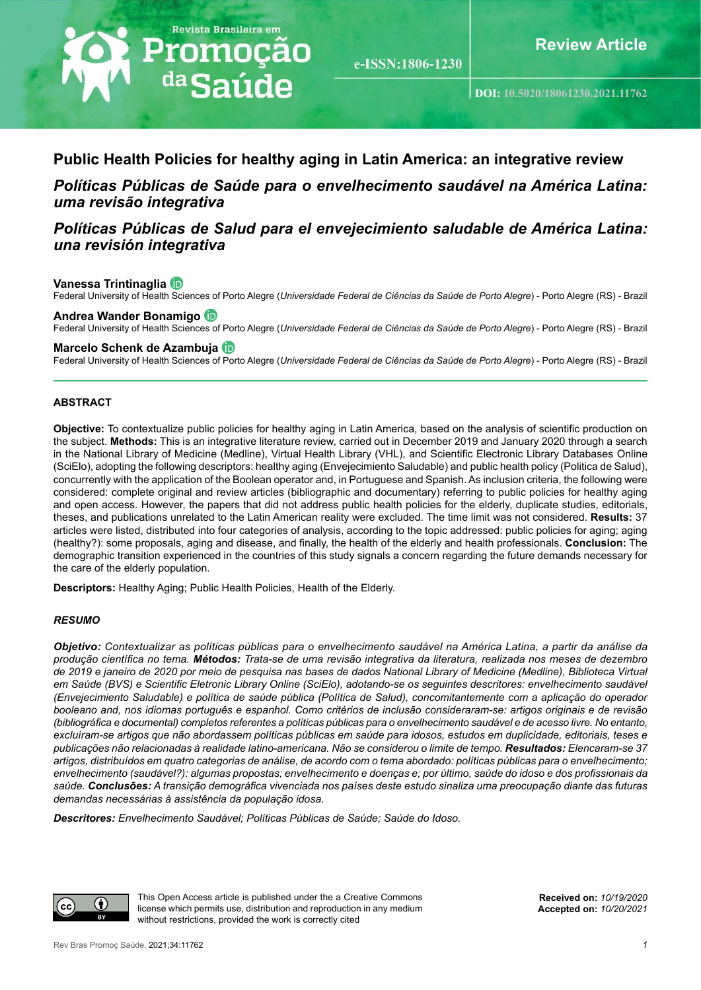

e-ISSN:1806-1230

**DOI: [10.5020/18061230.2021.1](https://periodicos.unifor.br/RBPS/article/view/10964)1762**

# **Public Health Policies for healthy aging in Latin America: an integrative review**

*Políticas Públicas de Saúde para o envelhecimento saudável na América Latina: uma revisão integrativa*

# *Políticas Públicas de Salud para el envejecimiento saludable de América Latina: una revisión integrativa*

## **Vanessa Trintinaglia**

Federal University of Health Sciences of Porto Alegre (*Universidade Federal de Ciências da Saúde de Porto Alegre*) - Porto Alegre (RS) - Brazil

### **Andrea Wander Bonamigo**

Federal University of Health Sciences of Porto Alegre (*Universidade Federal de Ciências da Saúde de Porto Alegre*) - Porto Alegre (RS) - Brazil

#### **Marcelo Schenk de Azambuja**

Federal University of Health Sciences of Porto Alegre (*Universidade Federal de Ciências da Saúde de Porto Alegre*) - Porto Alegre (RS) - Brazil

### **ABSTRACT**

**Objective:** To contextualize public policies for healthy aging in Latin America, based on the analysis of scientific production on the subject. **Methods:** This is an integrative literature review, carried out in December 2019 and January 2020 through a search in the National Library of Medicine (Medline), Virtual Health Library (VHL), and Scientific Electronic Library Databases Online (SciElo), adopting the following descriptors: healthy aging (Envejecimiento Saludable) and public health policy (Politica de Salud), concurrently with the application of the Boolean operator and, in Portuguese and Spanish. As inclusion criteria, the following were considered: complete original and review articles (bibliographic and documentary) referring to public policies for healthy aging and open access. However, the papers that did not address public health policies for the elderly, duplicate studies, editorials, theses, and publications unrelated to the Latin American reality were excluded. The time limit was not considered. **Results:** 37 articles were listed, distributed into four categories of analysis, according to the topic addressed: public policies for aging; aging (healthy?): some proposals, aging and disease, and finally, the health of the elderly and health professionals. **Conclusion:** The demographic transition experienced in the countries of this study signals a concern regarding the future demands necessary for the care of the elderly population.

**Descriptors:** Healthy Aging; Public Health Policies, Health of the Elderly.

#### *RESUMO*

*Objetivo: Contextualizar as políticas públicas para o envelhecimento saudável na América Latina, a partir da análise da produção científica no tema. Métodos: Trata-se de uma revisão integrativa da literatura, realizada nos meses de dezembro de 2019 e janeiro de 2020 por meio de pesquisa nas bases de dados National Library of Medicine (Medline), Biblioteca Virtual em Saúde (BVS) e Scientific Eletronic Library Online (SciElo), adotando-se os seguintes descritores: envelhecimento saudável (Envejecimiento Saludable) e política de saúde pública (Política de Salud), concomitantemente com a aplicação do operador booleano and, nos idiomas português e espanhol. Como critérios de inclusão consideraram-se: artigos originais e de revisão (bibliográfica e documental) completos referentes a políticas públicas para o envelhecimento saudável e de acesso livre. No entanto,*  excluíram-se artigos que não abordassem políticas públicas em saúde para idosos, estudos em duplicidade, editoriais, teses e *publicações não relacionadas à realidade latino-americana. Não se considerou o limite de tempo. Resultados: Elencaram-se 37 artigos, distribuídos em quatro categorias de análise, de acordo com o tema abordado: políticas públicas para o envelhecimento; envelhecimento (saudável?): algumas propostas; envelhecimento e doenças e; por último, saúde do idoso e dos profissionais da saúde. Conclusões: A transição demográfica vivenciada nos países deste estudo sinaliza uma preocupação diante das futuras demandas necessárias à assistência da população idosa.* 

*Descritores: Envelhecimento Saudável; Políticas Públicas de Saúde; Saúde do Idoso.*



This Open Access article is published under the a Creative Commons license which permits use, distribution and reproduction in any medium without restrictions, provided the work is correctly cited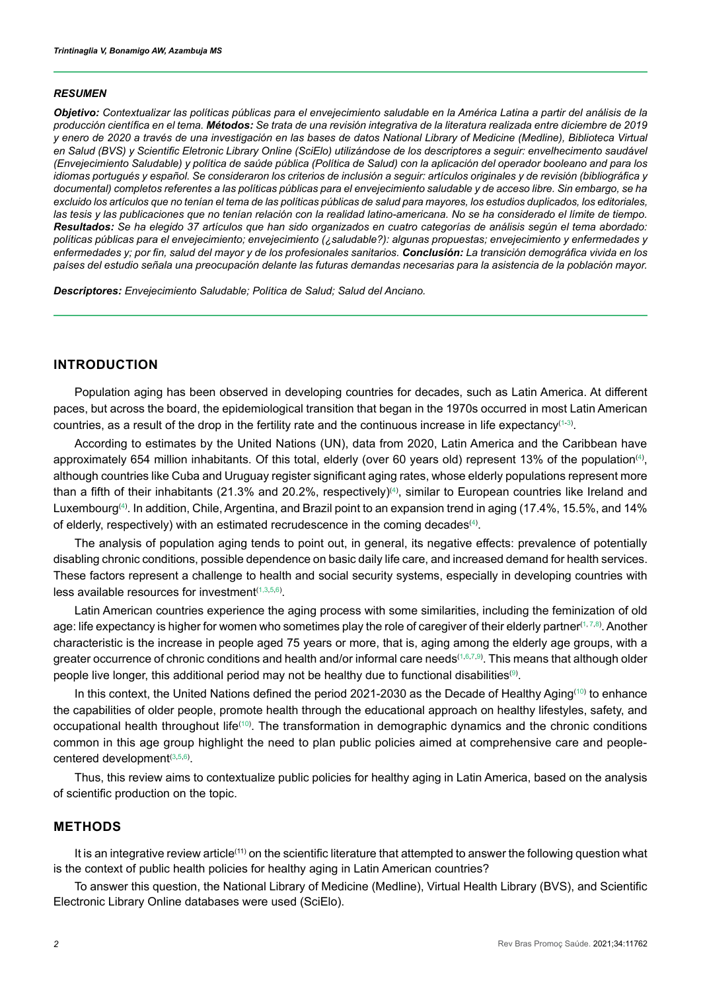#### *RESUMEN*

*Objetivo: Contextualizar las políticas públicas para el envejecimiento saludable en la América Latina a partir del análisis de la producción científica en el tema. Métodos: Se trata de una revisión integrativa de la literatura realizada entre diciembre de 2019 y enero de 2020 a través de una investigación en las bases de datos National Library of Medicine (Medline), Biblioteca Virtual en Salud (BVS) y Scientific Eletronic Library Online (SciElo) utilizándose de los descriptores a seguir: envelhecimento saudável (Envejecimiento Saludable) y política de saúde pública (Política de Salud) con la aplicación del operador booleano and para los idiomas portugués y español. Se consideraron los criterios de inclusión a seguir: artículos originales y de revisión (bibliográfica y documental) completos referentes a las políticas públicas para el envejecimiento saludable y de acceso libre. Sin embargo, se ha excluido los artículos que no tenían el tema de las políticas públicas de salud para mayores, los estudios duplicados, los editoriales,*  las tesis y las publicaciones que no tenían relación con la realidad latino-americana. No se ha considerado el límite de tiempo. *Resultados: Se ha elegido 37 artículos que han sido organizados en cuatro categorías de análisis según el tema abordado: políticas públicas para el envejecimiento; envejecimiento (¿saludable?): algunas propuestas; envejecimiento y enfermedades y enfermedades y; por fin, salud del mayor y de los profesionales sanitarios. Conclusión: La transición demográfica vivida en los países del estudio señala una preocupación delante las futuras demandas necesarias para la asistencia de la población mayor.* 

*Descriptores: Envejecimiento Saludable; Política de Salud; Salud del Anciano.*

# **INTRODUCTION**

Population aging has been observed in developing countries for decades, such as Latin America. At different paces, but across the board, the epidemiological transition that began in the 1970s occurred in most Latin American countries, as a result of the drop in the fertility rate and the continuous increase in life expectancy[\(1-](#page-11-0)[3\)](#page-11-1).

According to estimates by the United Nations (UN), data from 2020, Latin America and the Caribbean have approximately 65[4](#page-11-2) million inhabitants. Of this total, elderly (over 60 years old) represent 13% of the population $^{(4)},$ although countries like Cuba and Uruguay register significant aging rates, whose elderly populations represent more than a fifth of their inhabitants (21.3% and 20.2%, respectively)⑷, similar to European countries like Ireland and Luxembourg<sup>([4](#page-11-2))</sup>. In addition, Chile, Argentina, and Brazil point to an expansion trend in aging (17.4%, 15.5%, and 14% of elderly, respectively) with an estimated recrudescence in the coming decades $^{\scriptscriptstyle{(4)}}$  $^{\scriptscriptstyle{(4)}}$  $^{\scriptscriptstyle{(4)}}$ .

The analysis of population aging tends to point out, in general, its negative effects: prevalence of potentially disabling chronic conditions, possible dependence on basic daily life care, and increased demand for health services. These factors represent a challenge to health and social security systems, especially in developing countries with less available resources for investment $(1,3,5,6)$  $(1,3,5,6)$  $(1,3,5,6)$  $(1,3,5,6)$  $(1,3,5,6)$  $(1,3,5,6)$ .

Latin American countries experience the aging process with some similarities, including the feminization of old age: life expectancy is higher for women who sometimes play the role of caregiver of their elderly partner<sup>([1](#page-11-0), [7](#page-11-5),8</sup>). Another characteristic is the increase in people aged 75 years or more, that is, aging among the elderly age groups, with a greater occurrence of chronic conditions and health and/or informal care needs[\(1,](#page-11-0)[6,](#page-11-4)[7](#page-11-5)[,9](#page-12-1)) . This means that although older people live longer, this additional period may not be healthy due to functional disabilities®.

In this context, the United Nations defined the period 2021-2030 as the Decade of Healthy Aging<sup>[\(10\)](#page-12-2)</sup> to enhance the capabilities of older people, promote health through the educational approach on healthy lifestyles, safety, and occupational health throughout life<sup>([10](#page-12-2))</sup>. The transformation in demographic dynamics and the chronic conditions common in this age group highlight the need to plan public policies aimed at comprehensive care and peoplecentered development[\(3](#page-11-1)[,5](#page-11-3),[6](#page-11-4)) .

Thus, this review aims to contextualize public policies for healthy aging in Latin America, based on the analysis of scientific production on the topic.

## **METHODS**

It is an integrative review article<sup>(11)</sup> on the scientific literature that attempted to answer the following question what is the context of public health policies for healthy aging in Latin American countries?

To answer this question, the National Library of Medicine (Medline), Virtual Health Library (BVS), and Scientific Electronic Library Online databases were used (SciElo).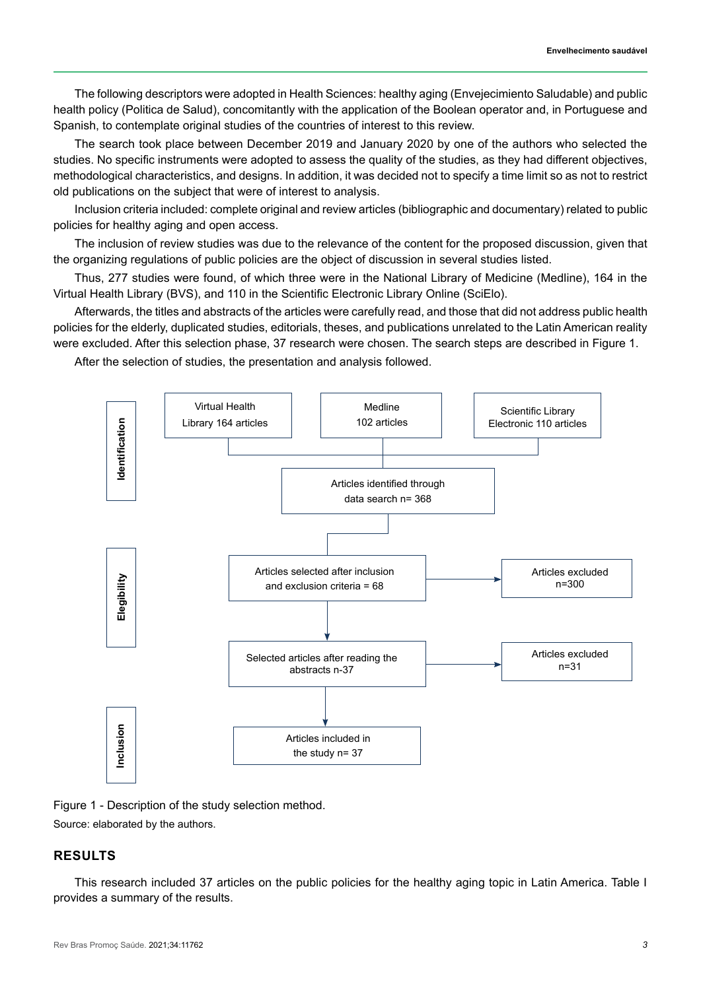The following descriptors were adopted in Health Sciences: healthy aging (Envejecimiento Saludable) and public health policy (Politica de Salud), concomitantly with the application of the Boolean operator and, in Portuguese and Spanish, to contemplate original studies of the countries of interest to this review.

The search took place between December 2019 and January 2020 by one of the authors who selected the studies. No specific instruments were adopted to assess the quality of the studies, as they had different objectives, methodological characteristics, and designs. In addition, it was decided not to specify a time limit so as not to restrict old publications on the subject that were of interest to analysis.

Inclusion criteria included: complete original and review articles (bibliographic and documentary) related to public policies for healthy aging and open access.

The inclusion of review studies was due to the relevance of the content for the proposed discussion, given that the organizing regulations of public policies are the object of discussion in several studies listed.

Thus, 277 studies were found, of which three were in the National Library of Medicine (Medline), 164 in the Virtual Health Library (BVS), and 110 in the Scientific Electronic Library Online (SciElo).

Afterwards, the titles and abstracts of the articles were carefully read, and those that did not address public health policies for the elderly, duplicated studies, editorials, theses, and publications unrelated to the Latin American reality were excluded. After this selection phase, 37 research were chosen. The search steps are described in Figure 1.

After the selection of studies, the presentation and analysis followed.



Figure 1 - Description of the study selection method.

Source: elaborated by the authors.

# **RESULTS**

This research included 37 articles on the public policies for the healthy aging topic in Latin America. Table I provides a summary of the results.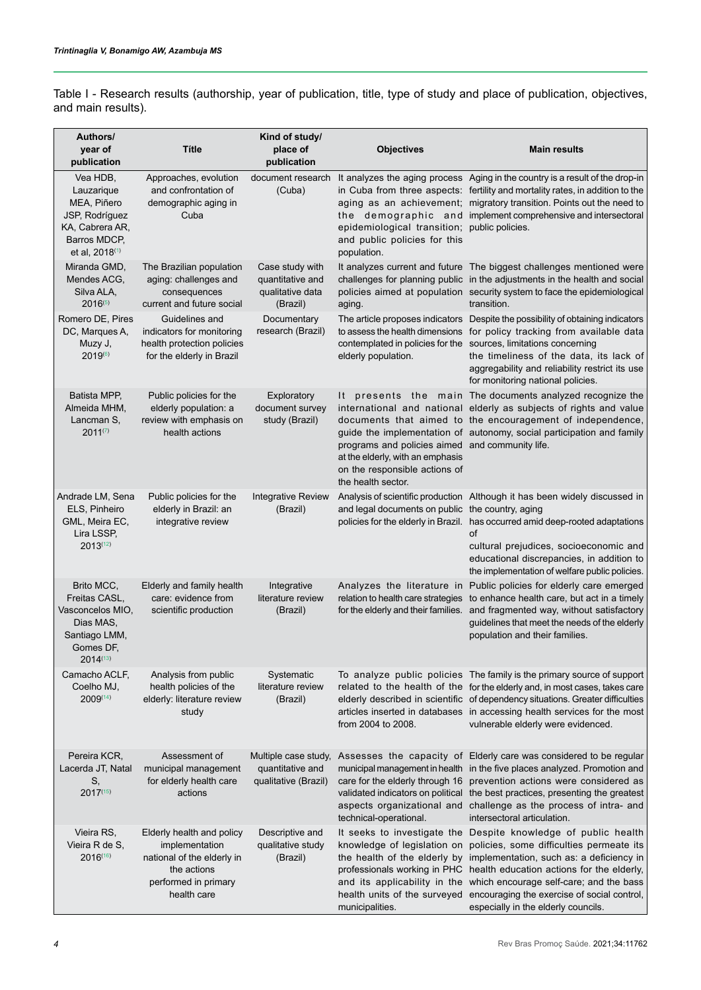| Authors/<br>year of<br>publication                                                                                       | <b>Títle</b>                                                                                           | Kind of study/<br>place of<br>publication                           | <b>Objectives</b>                                                                                                                          | <b>Main results</b>                                                                                                                                                                                                                                                                                                                                              |
|--------------------------------------------------------------------------------------------------------------------------|--------------------------------------------------------------------------------------------------------|---------------------------------------------------------------------|--------------------------------------------------------------------------------------------------------------------------------------------|------------------------------------------------------------------------------------------------------------------------------------------------------------------------------------------------------------------------------------------------------------------------------------------------------------------------------------------------------------------|
| Vea HDB,<br>Lauzarique<br>MEA, Piñero<br>JSP, Rodríguez<br>KA, Cabrera AR,<br>Barros MDCP,<br>et al, 2018 <sup>(1)</sup> | Approaches, evolution<br>and confrontation of<br>demographic aging in<br>Cuba                          | document research<br>(Cuba)                                         | epidemiological transition; public policies.<br>and public policies for this<br>population.                                                | It analyzes the aging process Aging in the country is a result of the drop-in<br>in Cuba from three aspects: fertility and mortality rates, in addition to the<br>aging as an achievement; migratory transition. Points out the need to<br>the demographic and implement comprehensive and intersectoral                                                         |
| Miranda GMD,<br>Mendes ACG,<br>Silva ALA,<br>$2016^{(5)}$                                                                | The Brazilian population<br>aging: challenges and<br>consequences<br>current and future social         | Case study with<br>quantitative and<br>qualitative data<br>(Brazil) | aging.                                                                                                                                     | It analyzes current and future The biggest challenges mentioned were<br>challenges for planning public in the adjustments in the health and social<br>policies aimed at population security system to face the epidemiological<br>transition.                                                                                                                    |
| Romero DE, Pires<br>DC, Marques A,<br>Muzy J,<br>2019(6)                                                                 | Guidelines and<br>indicators for monitoring<br>health protection policies<br>for the elderly in Brazil | Documentary<br>research (Brazil)                                    | elderly population.                                                                                                                        | The article proposes indicators Despite the possibility of obtaining indicators<br>to assess the health dimensions for policy tracking from available data<br>contemplated in policies for the sources, limitations concerning<br>the timeliness of the data, its lack of<br>aggregability and reliability restrict its use<br>for monitoring national policies. |
| Batista MPP,<br>Almeida MHM,<br>Lancman S,<br>$2011^{(7)}$                                                               | Public policies for the<br>elderly population: a<br>review with emphasis on<br>health actions          | Exploratory<br>document survey<br>study (Brazil)                    | programs and policies aimed and community life.<br>at the elderly, with an emphasis<br>on the responsible actions of<br>the health sector. | It presents the main The documents analyzed recognize the<br>international and national elderly as subjects of rights and value<br>documents that aimed to the encouragement of independence,<br>guide the implementation of autonomy, social participation and family                                                                                           |
| Andrade LM, Sena<br>ELS, Pinheiro<br>GML, Meira EC,<br>Lira LSSP,<br>$2013^{(12)}$                                       | Public policies for the<br>elderly in Brazil: an<br>integrative review                                 | <b>Integrative Review</b><br>(Brazil)                               | and legal documents on public the country, aging                                                                                           | Analysis of scientific production Although it has been widely discussed in<br>policies for the elderly in Brazil. has occurred amid deep-rooted adaptations<br>of<br>cultural prejudices, socioeconomic and<br>educational discrepancies, in addition to<br>the implementation of welfare public policies.                                                       |
| <b>Brito MCC.</b>                                                                                                        | Elderly and family health                                                                              | Integrative                                                         |                                                                                                                                            | Analyzes the literature in Public policies for elderly care emerged                                                                                                                                                                                                                                                                                              |

Table I - Research results (authorship, year of publication, title, type of study and place of publication, objectives, and main results).

relation to health care strategies to enhance health care, but act in a timely for the elderly and their families. and fragmented way, without satisfactory

To analyze public policies The family is the primary source of support related to the health of the for the elderly and, in most cases, takes care elderly described in scientific of dependency situations. Greater difficulties articles inserted in databases in accessing health services for the most

municipal management in health in the five places analyzed. Promotion and

validated indicators on political the best practices, presenting the greatest aspects organizational and challenge as the process of intra- and

It seeks to investigate the Despite knowledge of public health knowledge of legislation on policies, some difficulties permeate its the health of the elderly by implementation, such as: a deficiency in professionals working in PHC health education actions for the elderly, and its applicability in the which encourage self-care; and the bass health units of the surveyed encouraging the exercise of social control,

intersectoral articulation.

especially in the elderly councils.

Multiple case study, Assesses the capacity of Elderly care was considered to be regular

qualitative (Brazil) care for the elderly through 16 prevention actions were considered as

guidelines that meet the needs of the elderly

population and their families.

vulnerable elderly were evidenced.

Freitas CASL, Vasconcelos MIO, Dias MAS, Santiago LMM, Gomes DF, 2014([13\)](#page-12-4)

Camacho ACLF, Coelho MJ, 2009([14\)](#page-12-5)

Pereira KCR, Lacerda JT, Natal S,

care: evidence from scientific production

Analysis from public health policies of the elderly: literature review study

Assessment of municipal management for elderly health care actions

Elderly health and policy implementation national of the elderly in the actions performed in primary health care

literature review (Brazil)

Systematic literature review (Brazil)

quantitative and

Descriptive and qualitative study (Brazil)

from 2004 to 2008.

technical-operational.

municipalities.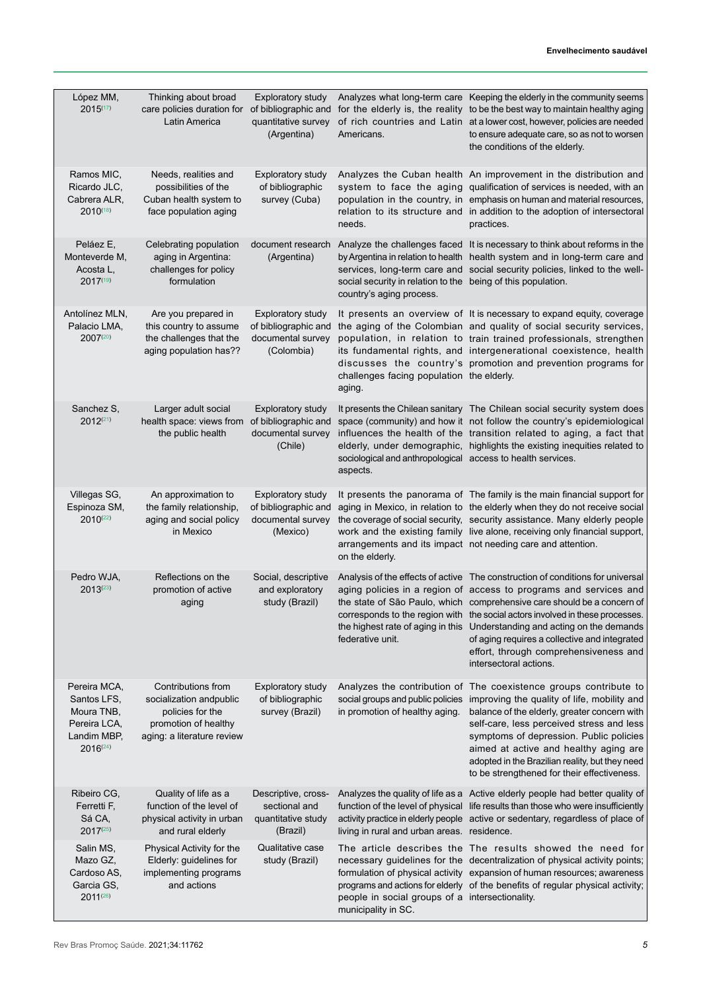| López MM,<br>$2015^{(17)}$                                                                | Thinking about broad<br>care policies duration for<br>Latin America                                                     | <b>Exploratory study</b><br>of bibliographic and<br>quantitative survey<br>(Argentina) | Americans.                                                                               | Analyzes what long-term care Keeping the elderly in the community seems<br>for the elderly is, the reality to be the best way to maintain healthy aging<br>of rich countries and Latin at a lower cost, however, policies are needed<br>to ensure adequate care, so as not to worsen<br>the conditions of the elderly.                                                                                                                                                                                           |
|-------------------------------------------------------------------------------------------|-------------------------------------------------------------------------------------------------------------------------|----------------------------------------------------------------------------------------|------------------------------------------------------------------------------------------|------------------------------------------------------------------------------------------------------------------------------------------------------------------------------------------------------------------------------------------------------------------------------------------------------------------------------------------------------------------------------------------------------------------------------------------------------------------------------------------------------------------|
| Ramos MIC,<br>Ricardo JLC,<br>Cabrera ALR,<br>$2010^{(18)}$                               | Needs, realities and<br>possibilities of the<br>Cuban health system to<br>face population aging                         | <b>Exploratory study</b><br>of bibliographic<br>survey (Cuba)                          | needs.                                                                                   | Analyzes the Cuban health An improvement in the distribution and<br>system to face the aging qualification of services is needed, with an<br>population in the country, in emphasis on human and material resources,<br>relation to its structure and in addition to the adoption of intersectoral<br>practices.                                                                                                                                                                                                 |
| Peláez E,<br>Monteverde M,<br>Acosta L,<br>$2017^{(19)}$                                  | Celebrating population<br>aging in Argentina:<br>challenges for policy<br>formulation                                   | document research<br>(Argentina)                                                       | social security in relation to the being of this population.<br>country's aging process. | Analyze the challenges faced It is necessary to think about reforms in the<br>by Argentina in relation to health health system and in long-term care and<br>services, long-term care and social security policies, linked to the well-                                                                                                                                                                                                                                                                           |
| Antolínez MLN,<br>Palacio LMA,<br>2007(20)                                                | Are you prepared in<br>this country to assume<br>the challenges that the<br>aging population has??                      | <b>Exploratory study</b><br>of bibliographic and<br>documental survey<br>(Colombia)    | challenges facing population the elderly.<br>aging.                                      | It presents an overview of It is necessary to expand equity, coverage<br>the aging of the Colombian and quality of social security services,<br>population, in relation to train trained professionals, strengthen<br>its fundamental rights, and intergenerational coexistence, health<br>discusses the country's promotion and prevention programs for                                                                                                                                                         |
| Sanchez S,<br>$2012^{(21)}$                                                               | Larger adult social<br>health space: views from<br>the public health                                                    | <b>Exploratory study</b><br>of bibliographic and<br>documental survey<br>(Chile)       | sociological and anthropological access to health services.<br>aspects.                  | It presents the Chilean sanitary The Chilean social security system does<br>space (community) and how it not follow the country's epidemiological<br>influences the health of the transition related to aging, a fact that<br>elderly, under demographic, highlights the existing inequities related to                                                                                                                                                                                                          |
| Villegas SG,<br>Espinoza SM,<br>$2010^{(22)}$                                             | An approximation to<br>the family relationship,<br>aging and social policy<br>in Mexico                                 | <b>Exploratory study</b><br>of bibliographic and<br>documental survey<br>(Mexico)      | on the elderly.                                                                          | It presents the panorama of The family is the main financial support for<br>aging in Mexico, in relation to the elderly when they do not receive social<br>the coverage of social security, security assistance. Many elderly people<br>work and the existing family live alone, receiving only financial support,<br>arrangements and its impact not needing care and attention.                                                                                                                                |
| Pedro WJA,<br>$2013^{(23)}$                                                               | Reflections on the<br>promotion of active<br>aging                                                                      | Social, descriptive<br>and exploratory<br>study (Brazil)                               | federative unit.                                                                         | Analysis of the effects of active The construction of conditions for universal<br>aging policies in a region of access to programs and services and<br>the state of São Paulo, which comprehensive care should be a concern of<br>corresponds to the region with the social actors involved in these processes.<br>the highest rate of aging in this Understanding and acting on the demands<br>of aging requires a collective and integrated<br>effort, through comprehensiveness and<br>intersectoral actions. |
| Pereira MCA,<br>Santos LFS.<br>Moura TNB,<br>Pereira LCA,<br>Landim MBP,<br>$2016^{(24)}$ | Contributions from<br>socialization andpublic<br>policies for the<br>promotion of healthy<br>aging: a literature review | <b>Exploratory study</b><br>of bibliographic<br>survey (Brazil)                        | social groups and public policies<br>in promotion of healthy aging.                      | Analyzes the contribution of The coexistence groups contribute to<br>improving the quality of life, mobility and<br>balance of the elderly, greater concern with<br>self-care, less perceived stress and less<br>symptoms of depression. Public policies<br>aimed at active and healthy aging are<br>adopted in the Brazilian reality, but they need<br>to be strengthened for their effectiveness.                                                                                                              |
| Ribeiro CG,<br>Ferretti F,<br>Sá CA,<br>$2017^{(25)}$                                     | Quality of life as a<br>function of the level of<br>physical activity in urban<br>and rural elderly                     | Descriptive, cross-<br>sectional and<br>quantitative study<br>(Brazil)                 | living in rural and urban areas. residence.                                              | Analyzes the quality of life as a Active elderly people had better quality of<br>function of the level of physical life results than those who were insufficiently<br>activity practice in elderly people active or sedentary, regardless of place of                                                                                                                                                                                                                                                            |
| Salin MS,<br>Mazo GZ,<br>Cardoso AS,<br>Garcia GS,<br>$2011^{(26)}$                       | Physical Activity for the<br>Elderly: guidelines for<br>implementing programs<br>and actions                            | Qualitative case<br>study (Brazil)                                                     | people in social groups of a intersectionality.<br>municipality in SC.                   | The article describes the The results showed the need for<br>necessary guidelines for the decentralization of physical activity points;<br>formulation of physical activity expansion of human resources; awareness<br>programs and actions for elderly of the benefits of regular physical activity;                                                                                                                                                                                                            |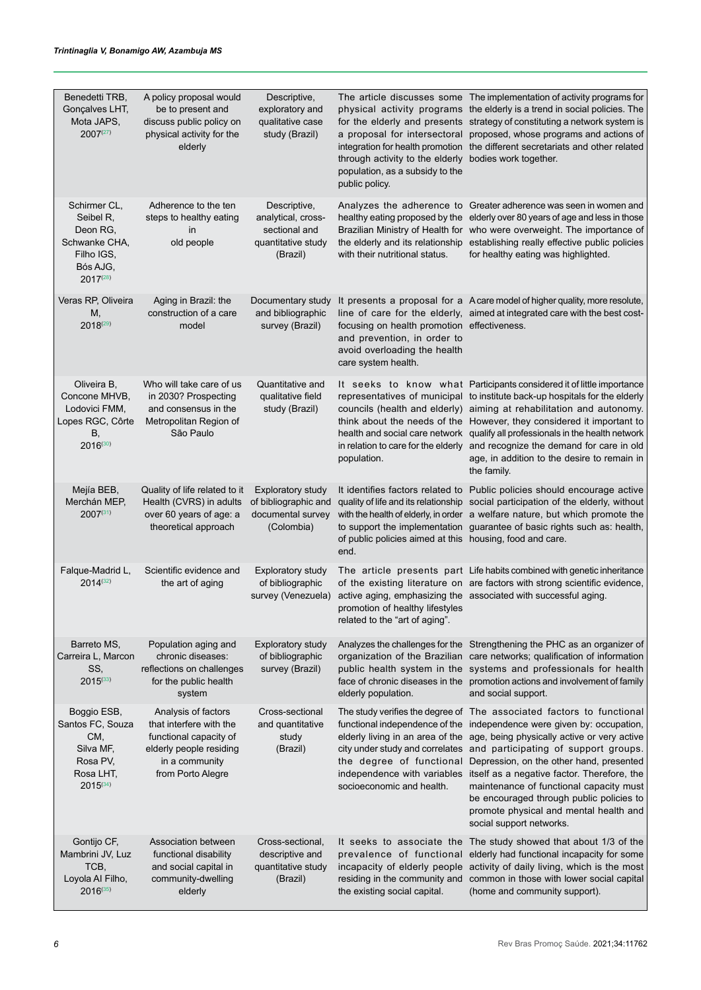| Benedetti TRB,<br>Gonçalves LHT,<br>Mota JAPS,<br>$2007^{(27)}$                                   | A policy proposal would<br>be to present and<br>discuss public policy on<br>physical activity for the<br>elderly                           | Descriptive,<br>exploratory and<br>qualitative case<br>study (Brazil)                 | through activity to the elderly bodies work together.<br>population, as a subsidy to the<br>public policy.                        | The article discusses some The implementation of activity programs for<br>physical activity programs the elderly is a trend in social policies. The<br>for the elderly and presents strategy of constituting a network system is<br>a proposal for intersectoral proposed, whose programs and actions of<br>integration for health promotion the different secretariats and other related                                                                                                                                                                                                                            |
|---------------------------------------------------------------------------------------------------|--------------------------------------------------------------------------------------------------------------------------------------------|---------------------------------------------------------------------------------------|-----------------------------------------------------------------------------------------------------------------------------------|----------------------------------------------------------------------------------------------------------------------------------------------------------------------------------------------------------------------------------------------------------------------------------------------------------------------------------------------------------------------------------------------------------------------------------------------------------------------------------------------------------------------------------------------------------------------------------------------------------------------|
| Schirmer CL,<br>Seibel R,<br>Deon RG.<br>Schwanke CHA,<br>Filho IGS,<br>Bós AJG,<br>$2017^{(28)}$ | Adherence to the ten<br>steps to healthy eating<br>in<br>old people                                                                        | Descriptive,<br>analytical, cross-<br>sectional and<br>quantitative study<br>(Brazil) | with their nutritional status.                                                                                                    | Analyzes the adherence to Greater adherence was seen in women and<br>healthy eating proposed by the elderly over 80 years of age and less in those<br>Brazilian Ministry of Health for who were overweight. The importance of<br>the elderly and its relationship establishing really effective public policies<br>for healthy eating was highlighted.                                                                                                                                                                                                                                                               |
| Veras RP, Oliveira<br>M,<br>$2018^{(29)}$                                                         | Aging in Brazil: the<br>construction of a care<br>model                                                                                    | Documentary study<br>and bibliographic<br>survey (Brazil)                             | focusing on health promotion effectiveness.<br>and prevention, in order to<br>avoid overloading the health<br>care system health. | It presents a proposal for a Acare model of higher quality, more resolute,<br>line of care for the elderly, aimed at integrated care with the best cost-                                                                                                                                                                                                                                                                                                                                                                                                                                                             |
| Oliveira B,<br>Concone MHVB,<br>Lodovici FMM,<br>Lopes RGC, Côrte<br>В,<br>2016(30)               | Who will take care of us<br>in 2030? Prospecting<br>and consensus in the<br>Metropolitan Region of<br>São Paulo                            | Quantitative and<br>qualitative field<br>study (Brazil)                               | population.                                                                                                                       | It seeks to know what Participants considered it of little importance<br>representatives of municipal to institute back-up hospitals for the elderly<br>councils (health and elderly) aiming at rehabilitation and autonomy.<br>think about the needs of the However, they considered it important to<br>health and social care network qualify all professionals in the health network<br>in relation to care for the elderly and recognize the demand for care in old<br>age, in addition to the desire to remain in<br>the family.                                                                                |
| Mejía BEB,<br>Merchán MEP,<br>$2007^{(31)}$                                                       | Quality of life related to it<br>Health (CVRS) in adults<br>over 60 years of age: a<br>theoretical approach                                | <b>Exploratory study</b><br>of bibliographic and<br>documental survey<br>(Colombia)   | of public policies aimed at this housing, food and care.<br>end.                                                                  | It identifies factors related to Public policies should encourage active<br>quality of life and its relationship social participation of the elderly, without<br>with the health of elderly, in order a welfare nature, but which promote the<br>to support the implementation guarantee of basic rights such as: health,                                                                                                                                                                                                                                                                                            |
| Falque-Madrid L,<br>$2014^{(32)}$                                                                 | Scientific evidence and<br>the art of aging                                                                                                | Exploratory study<br>of bibliographic<br>survey (Venezuela)                           | promotion of healthy lifestyles<br>related to the "art of aging".                                                                 | The article presents part Life habits combined with genetic inheritance<br>of the existing literature on are factors with strong scientific evidence,<br>active aging, emphasizing the associated with successful aging.                                                                                                                                                                                                                                                                                                                                                                                             |
| Barreto MS,<br>Carreira L, Marcon<br>SS,<br>$2015^{(33)}$                                         | Population aging and<br>chronic diseases:<br>reflections on challenges<br>for the public health<br>system                                  | Exploratory study<br>of bibliographic<br>survey (Brazil)                              | elderly population.                                                                                                               | Analyzes the challenges for the Strengthening the PHC as an organizer of<br>organization of the Brazilian care networks; qualification of information<br>public health system in the systems and professionals for health<br>face of chronic diseases in the promotion actions and involvement of family<br>and social support.                                                                                                                                                                                                                                                                                      |
| Boggio ESB,<br>Santos FC, Souza<br>CM,<br>Silva MF,<br>Rosa PV,<br>Rosa LHT,<br>$2015^{(34)}$     | Analysis of factors<br>that interfere with the<br>functional capacity of<br>elderly people residing<br>in a community<br>from Porto Alegre | Cross-sectional<br>and quantitative<br>study<br>(Brazil)                              | socioeconomic and health.                                                                                                         | The study verifies the degree of The associated factors to functional<br>functional independence of the independence were given by: occupation,<br>elderly living in an area of the age, being physically active or very active<br>city under study and correlates and participating of support groups.<br>the degree of functional Depression, on the other hand, presented<br>independence with variables itself as a negative factor. Therefore, the<br>maintenance of functional capacity must<br>be encouraged through public policies to<br>promote physical and mental health and<br>social support networks. |
| Gontijo CF,<br>Mambrini JV, Luz<br>TCB,<br>Loyola Al Filho,<br>$2016^{(35)}$                      | Association between<br>functional disability<br>and social capital in<br>community-dwelling<br>elderly                                     | Cross-sectional,<br>descriptive and<br>quantitative study<br>(Brazil)                 | prevalence of functional<br>residing in the community and<br>the existing social capital.                                         | It seeks to associate the The study showed that about 1/3 of the<br>elderly had functional incapacity for some<br>incapacity of elderly people activity of daily living, which is the most<br>common in those with lower social capital<br>(home and community support).                                                                                                                                                                                                                                                                                                                                             |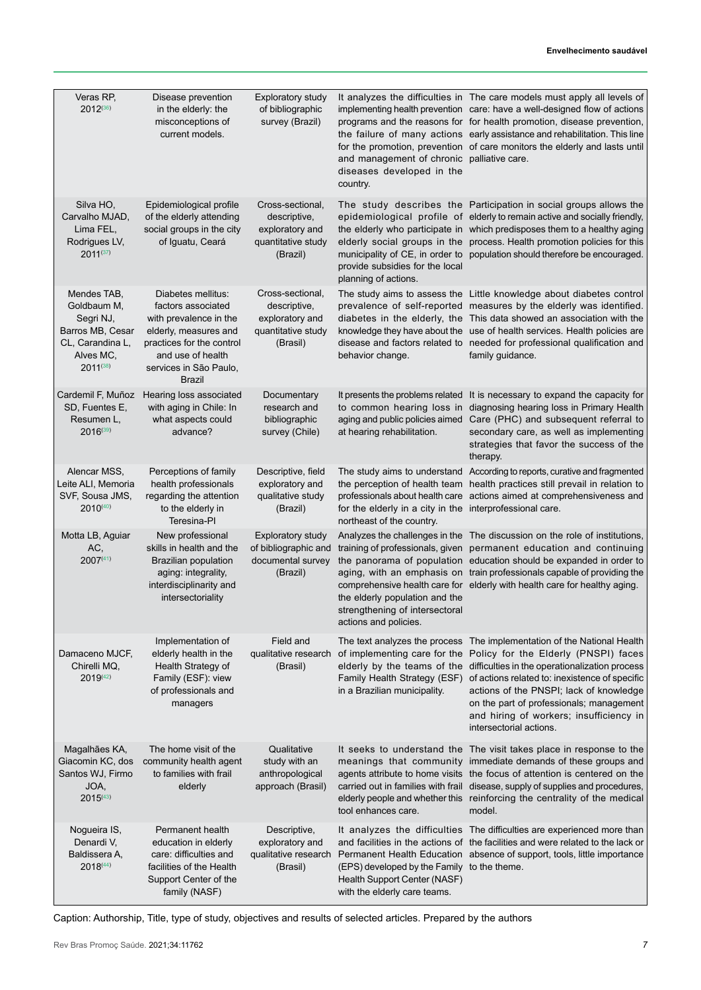#### **Envelhecimento saudável**

| Veras RP,<br>$2012^{(36)}$                                                                                    | Disease prevention<br>in the elderly: the<br>misconceptions of<br>current models.                                                                                                 | <b>Exploratory study</b><br>of bibliographic<br>survey (Brazil)                       | and management of chronic palliative care.<br>diseases developed in the<br>country.                                            | It analyzes the difficulties in The care models must apply all levels of<br>implementing health prevention care: have a well-designed flow of actions<br>programs and the reasons for for health promotion, disease prevention,<br>the failure of many actions early assistance and rehabilitation. This line<br>for the promotion, prevention of care monitors the elderly and lasts until                  |
|---------------------------------------------------------------------------------------------------------------|-----------------------------------------------------------------------------------------------------------------------------------------------------------------------------------|---------------------------------------------------------------------------------------|--------------------------------------------------------------------------------------------------------------------------------|--------------------------------------------------------------------------------------------------------------------------------------------------------------------------------------------------------------------------------------------------------------------------------------------------------------------------------------------------------------------------------------------------------------|
| Silva HO,<br>Carvalho MJAD,<br>Lima FEL,<br>Rodrigues LV,<br>$2011^{(37)}$                                    | Epidemiological profile<br>of the elderly attending<br>social groups in the city<br>of Iguatu, Ceará                                                                              | Cross-sectional,<br>descriptive,<br>exploratory and<br>quantitative study<br>(Brazil) | provide subsidies for the local<br>planning of actions.                                                                        | The study describes the Participation in social groups allows the<br>epidemiological profile of elderly to remain active and socially friendly,<br>the elderly who participate in which predisposes them to a healthy aging<br>elderly social groups in the process. Health promotion policies for this<br>municipality of CE, in order to population should therefore be encouraged.                        |
| Mendes TAB,<br>Goldbaum M,<br>Segri NJ,<br>Barros MB, Cesar<br>CL, Carandina L,<br>Alves MC,<br>$2011^{(38)}$ | Diabetes mellitus:<br>factors associated<br>with prevalence in the<br>elderly, measures and<br>practices for the control<br>and use of health<br>services in São Paulo,<br>Brazil | Cross-sectional,<br>descriptive,<br>exploratory and<br>quantitative study<br>(Brasil) | behavior change.                                                                                                               | The study aims to assess the Little knowledge about diabetes control<br>prevalence of self-reported measures by the elderly was identified.<br>diabetes in the elderly, the This data showed an association with the<br>knowledge they have about the use of health services. Health policies are<br>disease and factors related to needed for professional qualification and<br>family guidance.            |
| Cardemil F, Muñoz<br>SD, Fuentes E,<br>Resumen L,<br>$2016^{(39)}$                                            | Hearing loss associated<br>with aging in Chile: In<br>what aspects could<br>advance?                                                                                              | Documentary<br>research and<br>bibliographic<br>survey (Chile)                        | It presents the problems related<br>to common hearing loss in<br>aging and public policies aimed<br>at hearing rehabilitation. | It is necessary to expand the capacity for<br>diagnosing hearing loss in Primary Health<br>Care (PHC) and subsequent referral to<br>secondary care, as well as implementing<br>strategies that favor the success of the<br>therapy.                                                                                                                                                                          |
| Alencar MSS,<br>Leite ALI, Memoria<br>SVF, Sousa JMS,<br>$2010^{(40)}$                                        | Perceptions of family<br>health professionals<br>regarding the attention<br>to the elderly in<br>Teresina-PI                                                                      | Descriptive, field<br>exploratory and<br>qualitative study<br>(Brazil)                | for the elderly in a city in the interprofessional care.<br>northeast of the country.                                          | The study aims to understand According to reports, curative and fragmented<br>the perception of health team health practices still prevail in relation to<br>professionals about health care actions aimed at comprehensiveness and                                                                                                                                                                          |
| Motta LB, Aguiar<br>AC,<br>$2007^{(41)}$                                                                      | New professional<br>skills in health and the<br><b>Brazilian population</b><br>aging: integrality,<br>interdisciplinarity and<br>intersectoriality                                | <b>Exploratory study</b><br>of bibliographic and<br>documental survey<br>(Brazil)     | the elderly population and the<br>strengthening of intersectoral<br>actions and policies.                                      | Analyzes the challenges in the The discussion on the role of institutions,<br>training of professionals, given permanent education and continuing<br>the panorama of population education should be expanded in order to<br>aging, with an emphasis on train professionals capable of providing the<br>comprehensive health care for elderly with health care for healthy aging.                             |
| Damaceno MJCF,<br>Chirelli MQ,<br>$2019^{(42)}$                                                               | Implementation of<br>elderly health in the<br>Health Strategy of<br>Family (ESF): view<br>of professionals and<br>managers                                                        | Field and<br>qualitative research<br>(Brasil)                                         | of implementing care for the<br>Family Health Strategy (ESF)<br>in a Brazilian municipality.                                   | The text analyzes the process The implementation of the National Health<br>Policy for the Elderly (PNSPI) faces<br>elderly by the teams of the difficulties in the operationalization process<br>of actions related to: inexistence of specific<br>actions of the PNSPI; lack of knowledge<br>on the part of professionals; management<br>and hiring of workers; insufficiency in<br>intersectorial actions. |
| Magalhães KA,<br>Giacomin KC, dos<br>Santos WJ, Firmo<br>JOA,<br>$2015^{(43)}$                                | The home visit of the<br>community health agent<br>to families with frail<br>elderly                                                                                              | Qualitative<br>study with an<br>anthropological<br>approach (Brasil)                  | tool enhances care.                                                                                                            | It seeks to understand the The visit takes place in response to the<br>meanings that community immediate demands of these groups and<br>agents attribute to home visits the focus of attention is centered on the<br>carried out in families with frail disease, supply of supplies and procedures,<br>elderly people and whether this reinforcing the centrality of the medical<br>model.                   |
| Nogueira IS,<br>Denardi V,<br>Baldissera A,<br>$2018^{(44)}$                                                  | Permanent health<br>education in elderly<br>care: difficulties and<br>facilities of the Health<br>Support Center of the<br>family (NASF)                                          | Descriptive,<br>exploratory and<br>qualitative research<br>(Brasil)                   | (EPS) developed by the Family to the theme.<br>Health Support Center (NASF)<br>with the elderly care teams.                    | It analyzes the difficulties The difficulties are experienced more than<br>and facilities in the actions of the facilities and were related to the lack or<br>Permanent Health Education absence of support, tools, little importance                                                                                                                                                                        |

Caption: Authorship, Title, type of study, objectives and results of selected articles. Prepared by the authors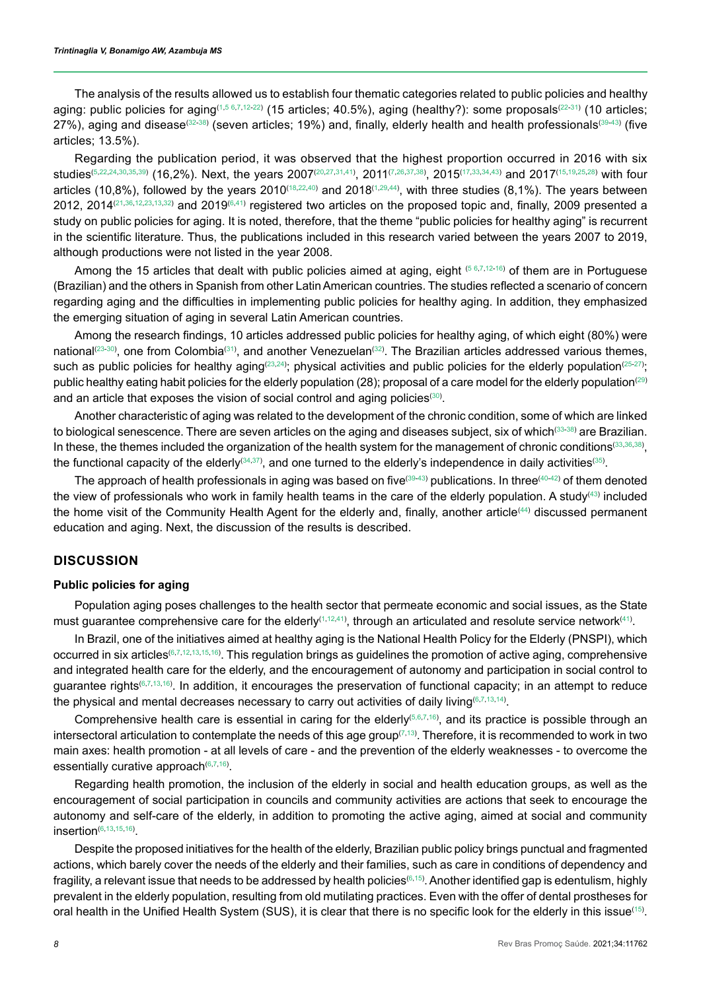The analysis of the results allowed us to establish four thematic categories related to public policies and healthy aging: public policies for aging<sup>[\(1](#page-11-0)[,5](#page-11-3) [6,](#page-11-4)[7,](#page-11-5)[12-](#page-12-3)[22](#page-12-13))</sup> (15 articles; 40.5%), aging (healthy?): some proposals<sup>[\(22-](#page-12-13)[31](#page-13-2))</sup> (10 articles; 27%), aging and disease<sup>[\(32-](#page-13-3)[38](#page-13-9))</sup> (seven articles; 19%) and, finally, elderly health and health professionals<sup>([39](#page-13-10)[-43\)](#page-13-14)</sup> (five articles; 13.5%).

Regarding the publication period, it was observed that the highest proportion occurred in 2016 with six studies([5](#page-11-3)[,22](#page-12-13),[24](#page-12-15),[30,](#page-13-1)[35](#page-13-6)[,39](#page-13-10)) (16,2%). Next, the years [20](#page-12-11)07(20,[27](#page-12-18)[,31](#page-13-2)[,41\)](#page-13-12), 2011([7](#page-11-5),[26](#page-12-17)[,37](#page-13-8)[,38\)](#page-13-9), 2015([17](#page-12-8),[33,](#page-13-4)[34](#page-13-5)[,43](#page-13-14)) and 2017[\(15,](#page-12-6)[19](#page-12-10),[25](#page-12-16),[28\)](#page-12-19) with four articles ([1](#page-11-0)0,8%), followed by the years 2010 $^{(18,22,40)}$  $^{(18,22,40)}$  $^{(18,22,40)}$  $^{(18,22,40)}$  $^{(18,22,40)}$  and 2018 $^{(1,29,44)}$  $^{(1,29,44)}$  $^{(1,29,44)}$  $^{(1,29,44)}$  $^{(1,29,44)}$ , with three studies (8,1%). The years between 20[12](#page-12-3), 2014 $^{(21,36,12,23,13,32)}$  $^{(21,36,12,23,13,32)}$  $^{(21,36,12,23,13,32)}$  $^{(21,36,12,23,13,32)}$  $^{(21,36,12,23,13,32)}$  $^{(21,36,12,23,13,32)}$  $^{(21,36,12,23,13,32)}$  $^{(21,36,12,23,13,32)}$  $^{(21,36,12,23,13,32)}$  and 2019 $^{(6,41)}$  $^{(6,41)}$  $^{(6,41)}$  $^{(6,41)}$  registered two articles on the proposed topic and, finally, 2009 presented a study on public policies for aging. It is noted, therefore, that the theme "public policies for healthy aging" is recurrent in the scientific literature. Thus, the publications included in this research varied between the years 2007 to 2019, although productions were not listed in the year 2008.

Among the 15 articles that dealt with public policies aimed at aging, eight <sup>[\(5](#page-11-3) [6](#page-11-4)[,7](#page-11-5)[,12-](#page-12-3)[16](#page-12-7))</sup> of them are in Portuguese (Brazilian) and the others in Spanish from other Latin American countries. The studies reflected a scenario of concern regarding aging and the difficulties in implementing public policies for healthy aging. In addition, they emphasized the emerging situation of aging in several Latin American countries.

Among the research findings, 10 articles addressed public policies for healthy aging, of which eight (80%) were national $^{(23\text{-}30)}$  $^{(23\text{-}30)}$  $^{(23\text{-}30)}$ , one from Colombia $^{(31)}$  $^{(31)}$  $^{(31)}$ , and another Venezuelan $^{(32)}$  $^{(32)}$  $^{(32)}$ . The Brazilian articles addressed various themes, such as public policies for healthy aging $^{(23,24)}$  $^{(23,24)}$  $^{(23,24)}$  $^{(23,24)}$ ; physical activities and public policies for the elderly population $^{(25\text{-}27)}$  $^{(25\text{-}27)}$  $^{(25\text{-}27)}$ ; public healthy eating habit policies for the elderly population (28); proposal of a care model for the elderly population<sup>([29\)](#page-13-0)</sup> and an article that exposes the vision of social control and aging policies $^{\scriptscriptstyle{(30)}}$  $^{\scriptscriptstyle{(30)}}$  $^{\scriptscriptstyle{(30)}}$ .

Another characteristic of aging was related to the development of the chronic condition, some of which are linked to biological senescence. There are seven articles on the aging and diseases subject, six of which([33](#page-13-4)[-38\)](#page-13-9) are Brazilian. In these, the themes included the organization of the health system for the management of chronic conditions $^{\text{\tiny (33,36,36)}}$  $^{\text{\tiny (33,36,36)}}$  $^{\text{\tiny (33,36,36)}}$  $^{\text{\tiny (33,36,36)}}$ , the functional capacity of the elderly $^{\scriptsize{(34,37)}}$  $^{\scriptsize{(34,37)}}$  $^{\scriptsize{(34,37)}}$  $^{\scriptsize{(34,37)}}$ , and one turned to the elderly's independence in daily activities $^{\scriptsize{(35)}}$  $^{\scriptsize{(35)}}$  $^{\scriptsize{(35)}}$ .

The approach of health professionals in aging was based on five $^{\text{\tiny{(39-43)}}}$  $^{\text{\tiny{(39-43)}}}$  $^{\text{\tiny{(39-43)}}}$  $^{\text{\tiny{(39-43)}}}$  $^{\text{\tiny{(39-43)}}}$  publications. In three $^{\text{\tiny{(40-42)}}}$  $^{\text{\tiny{(40-42)}}}$  $^{\text{\tiny{(40-42)}}}$  $^{\text{\tiny{(40-42)}}}$  of them denoted the view of professionals who work in family health teams in the care of the elderly population. A study[\(43\)](#page-13-14) included the home visit of the Community Health Agent for the elderly and, finally, another article<sup>[\(44\)](#page-13-15)</sup> discussed permanent education and aging. Next, the discussion of the results is described.

### **DISCUSSION**

### **Public policies for aging**

Population aging poses challenges to the health sector that permeate economic and social issues, as the State must guarantee comprehensive care for the elderly([1](#page-11-0),[12](#page-12-3),[41](#page-13-12)), through an articulated and resolute service network(41).

In Brazil, one of the initiatives aimed at healthy aging is the National Health Policy for the Elderly (PNSPI), which occurred in six articles©,[7](#page-11-5),[12](#page-12-3),[13](#page-12-4),[15](#page-12-6)[,16\)](#page-12-7). This regulation brings as guidelines the promotion of active aging, comprehensive and integrated health care for the elderly, and the encouragement of autonomy and participation in social control to guarantee rights©[7](#page-11-5),[13](#page-12-4),[16](#page-12-7)). In addition, it encourages the preservation of functional capacity; in an attempt to reduce the physical and mental decreases necessary to carry out activities of daily living $^{\scriptsize{(6,7,13,14)}}$  $^{\scriptsize{(6,7,13,14)}}$  $^{\scriptsize{(6,7,13,14)}}$  $^{\scriptsize{(6,7,13,14)}}$  $^{\scriptsize{(6,7,13,14)}}$  $^{\scriptsize{(6,7,13,14)}}$ .

Comprehensive health care is essential in caring for the elderly<sup>([5](#page-11-3)[,6](#page-11-4)[,7,](#page-11-5)[16\)](#page-12-7)</sup>, and its practice is possible through an intersectoral articulation to contemplate the needs of this age group $^{(7,13)}.$  $^{(7,13)}.$  $^{(7,13)}.$  $^{(7,13)}.$  Therefore, it is recommended to work in two main axes: health promotion - at all levels of care - and the prevention of the elderly weaknesses - to overcome the essentially curative approach<sup>[\(6](#page-11-4)[,7](#page-11-5),[16](#page-12-7))</sup>.

Regarding health promotion, the inclusion of the elderly in social and health education groups, as well as the encouragement of social participation in councils and community activities are actions that seek to encourage the autonomy and self-care of the elderly, in addition to promoting the active aging, aimed at social and community  $insertion^{(6,13,15,16)}$  $insertion^{(6,13,15,16)}$  $insertion^{(6,13,15,16)}$  $insertion^{(6,13,15,16)}$  $insertion^{(6,13,15,16)}$  $insertion^{(6,13,15,16)}$  $insertion^{(6,13,15,16)}$ .

Despite the proposed initiatives for the health of the elderly, Brazilian public policy brings punctual and fragmented actions, which barely cover the needs of the elderly and their families, such as care in conditions of dependency and fragility, a relevant issue that needs to be addressed by health policies[\(6](#page-11-4)[,15\)](#page-12-6) . Another identified gap is edentulism, highly prevalent in the elderly population, resulting from old mutilating practices. Even with the offer of dental prostheses for oral health in the Unified Health System (SUS), it is clear that there is no specific look for the elderly in this issue $^{(15)}\!$  $^{(15)}\!$  $^{(15)}\!$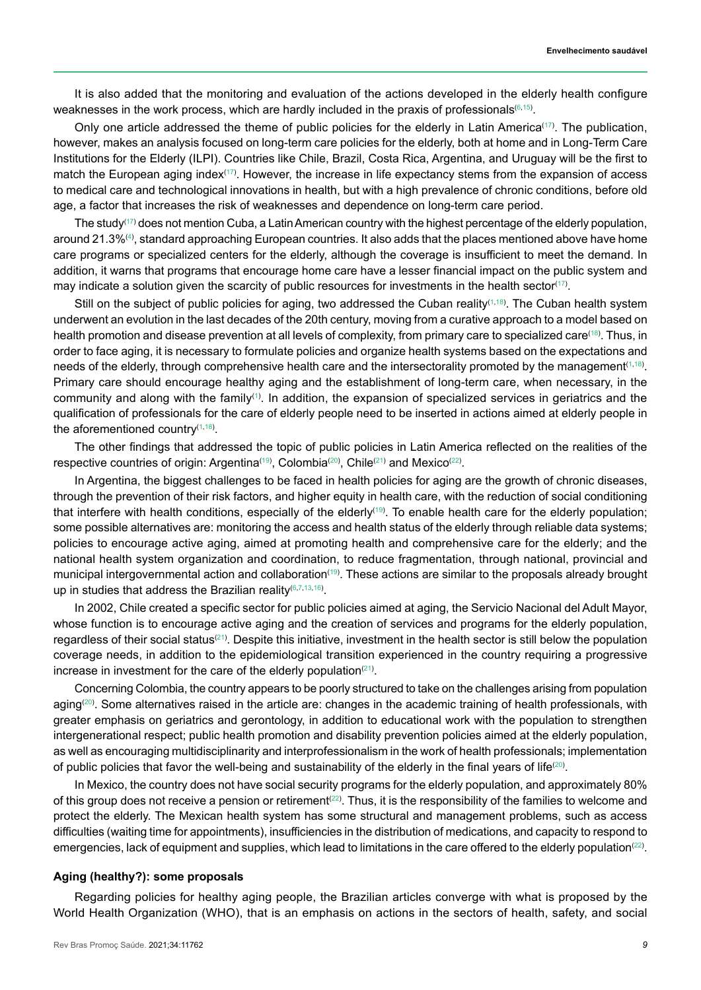It is also added that the monitoring and evaluation of the actions developed in the elderly health configure weaknesses in the work process, which are hardly included in the praxis of professionals $^{\left(6,15\right)}$  $^{\left(6,15\right)}$  $^{\left(6,15\right)}$ .

Only one article addressed the theme of public policies for the elderly in Latin America<sup>[\(17\)](#page-12-8)</sup>. The publication, however, makes an analysis focused on long-term care policies for the elderly, both at home and in Long-Term Care Institutions for the Elderly (ILPI). Countries like Chile, Brazil, Costa Rica, Argentina, and Uruguay will be the first to match the European aging index $(17)$ . However, the increase in life expectancy stems from the expansion of access to medical care and technological innovations in health, but with a high prevalence of chronic conditions, before old age, a factor that increases the risk of weaknesses and dependence on long-term care period.

The study $^{(17)}$  $^{(17)}$  $^{(17)}$  does not mention Cuba, a Latin American country with the highest percentage of the elderly population, around 21.3%⑷, standard approaching European countries. It also adds that the places mentioned above have home care programs or specialized centers for the elderly, although the coverage is insufficient to meet the demand. In addition, it warns that programs that encourage home care have a lesser financial impact on the public system and may indicate a solution given the scarcity of public resources for investments in the health sector([17](#page-12-8)).

Still on the subject of public policies for aging, two addressed the Cuban reality $^{(1,18)}$  $^{(1,18)}$  $^{(1,18)}$  $^{(1,18)}$ . The Cuban health system underwent an evolution in the last decades of the 20th century, moving from a curative approach to a model based on health promotion and disease prevention at all levels of complexity, from primary care to specialized care<sup>([18](#page-12-9))</sup>. Thus, in order to face aging, it is necessary to formulate policies and organize health systems based on the expectations and needs of the elderly, through comprehensive health care and the intersectorality promoted by the management([1](#page-11-0),[18](#page-12-9)) . Primary care should encourage healthy aging and the establishment of long-term care, when necessary, in the community and along with the family $^{\text{\tiny{(1)}}}$  $^{\text{\tiny{(1)}}}$  $^{\text{\tiny{(1)}}}$ . In addition, the expansion of specialized services in geriatrics and the qualification of professionals for the care of elderly people need to be inserted in actions aimed at elderly people in the aforementioned country $^{\scriptscriptstyle{(1,18)}}$  $^{\scriptscriptstyle{(1,18)}}$  $^{\scriptscriptstyle{(1,18)}}$  $^{\scriptscriptstyle{(1,18)}}$  $^{\scriptscriptstyle{(1,18)}}$ .

The other findings that addressed the topic of public policies in Latin America reflected on the realities of the respective countries of origin: Argentina<sup>[\(19\)](#page-12-10)</sup>, Colombia<sup>([20](#page-12-11))</sup>, Chile<sup>[\(21\)](#page-12-12)</sup> and Mexico<sup>([22](#page-12-13))</sup>.

In Argentina, the biggest challenges to be faced in health policies for aging are the growth of chronic diseases, through the prevention of their risk factors, and higher equity in health care, with the reduction of social conditioning that interfere with health conditions, especially of the elderly([19](#page-12-10)) . To enable health care for the elderly population; some possible alternatives are: monitoring the access and health status of the elderly through reliable data systems; policies to encourage active aging, aimed at promoting health and comprehensive care for the elderly; and the national health system organization and coordination, to reduce fragmentation, through national, provincial and municipal intergovernmental action and collaboration $^{\text{\tiny{(19)}}}.$  $^{\text{\tiny{(19)}}}.$  $^{\text{\tiny{(19)}}}.$  These actions are similar to the proposals already brought up in studies that address the Brazilian reality<sup>([6](#page-11-4)[,7,](#page-11-5)[13](#page-12-4)[,16\)](#page-12-7)</sup>.

In 2002, Chile created a specific sector for public policies aimed at aging, the Servicio Nacional del Adult Mayor, whose function is to encourage active aging and the creation of services and programs for the elderly population, regardless of their social status $^{(21)}$  $^{(21)}$  $^{(21)}$ . Despite this initiative, investment in the health sector is still below the population coverage needs, in addition to the epidemiological transition experienced in the country requiring a progressive increase in investment for the care of the elderly population $^{(21)}$  $^{(21)}$  $^{(21)}$ .

Concerning Colombia, the country appears to be poorly structured to take on the challenges arising from population aging $^{(20)}$  $^{(20)}$  $^{(20)}$ . Some alternatives raised in the article are: changes in the academic training of health professionals, with greater emphasis on geriatrics and gerontology, in addition to educational work with the population to strengthen intergenerational respect; public health promotion and disability prevention policies aimed at the elderly population, as well as encouraging multidisciplinarity and interprofessionalism in the work of health professionals; implementation of public policies that favor the well-being and sustainability of the elderly in the final years of life $^{(20)}$  $^{(20)}$  $^{(20)}$ .

In Mexico, the country does not have social security programs for the elderly population, and approximately 80% of this group does not receive a pension or retirement $^{(22)}$  $^{(22)}$  $^{(22)}$ . Thus, it is the responsibility of the families to welcome and protect the elderly. The Mexican health system has some structural and management problems, such as access difficulties (waiting time for appointments), insufficiencies in the distribution of medications, and capacity to respond to emergencies, lack of equipment and supplies, which lead to limitations in the care offered to the elderly population $^{(22)}$  $^{(22)}$  $^{(22)}$ .

#### **Aging (healthy?): some proposals**

Regarding policies for healthy aging people, the Brazilian articles converge with what is proposed by the World Health Organization (WHO), that is an emphasis on actions in the sectors of health, safety, and social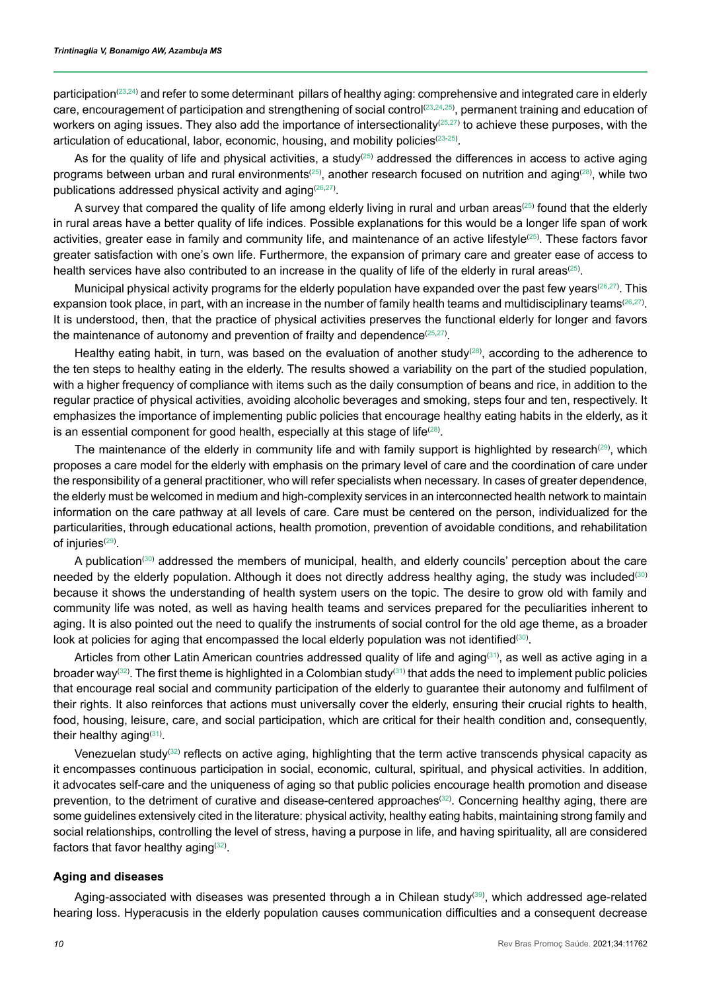participation<sup>([23](#page-12-14),[24](#page-12-15))</sup> and refer to some determinant pillars of healthy aging: comprehensive and integrated care in elderly care, encouragement of participation and strengthening of social control©3,[24](#page-12-15),[25](#page-12-16)), permanent training and education of workers on aging issues. They also add the importance of intersectionality $^{(25,27)}$  $^{(25,27)}$  $^{(25,27)}$  $^{(25,27)}$  to achieve these purposes, with the articulation of educational, labor, economic, housing, and mobility policies<sup>([23](#page-12-14)[-25\)](#page-12-16)</sup>.

As for the quality of life and physical activities, a study $^{(25)}$  $^{(25)}$  $^{(25)}$  addressed the differences in access to active aging programs between urban and rural environments $^{(25)}$  $^{(25)}$  $^{(25)}$ , another research focused on nutrition and aging $^{(28)}$  $^{(28)}$  $^{(28)}$ , while two publications addressed physical activity and aging([26](#page-12-17),[27](#page-12-18)) .

A survey that compared the quality of life among elderly living in rural and urban areas<sup>[\(25\)](#page-12-16)</sup> found that the elderly in rural areas have a better quality of life indices. Possible explanations for this would be a longer life span of work activities, greater ease in family and community life, and maintenance of an active lifestyle<sup>([25](#page-12-16))</sup>. These factors favor greater satisfaction with one's own life. Furthermore, the expansion of primary care and greater ease of access to health services have also contributed to an increase in the quality of life of the elderly in rural areas $^{(25)}\!$  $^{(25)}\!$  $^{(25)}\!$ 

Municipal physical activity programs for the elderly population have expanded over the past few years<sup>[\(26,](#page-12-17)[27](#page-12-18))</sup>. This expansion took place, in part, with an increase in the number of family health teams and multidisciplinary teams<sup>([26](#page-12-17),[27](#page-12-18))</sup>. It is understood, then, that the practice of physical activities preserves the functional elderly for longer and favors the maintenance of autonomy and prevention of frailty and dependence $^{(25,27)}.$  $^{(25,27)}.$  $^{(25,27)}.$  $^{(25,27)}.$ 

Healthy eating habit, in turn, was based on the evaluation of another study $^{(28)}$  $^{(28)}$  $^{(28)}$ , according to the adherence to the ten steps to healthy eating in the elderly. The results showed a variability on the part of the studied population, with a higher frequency of compliance with items such as the daily consumption of beans and rice, in addition to the regular practice of physical activities, avoiding alcoholic beverages and smoking, steps four and ten, respectively. It emphasizes the importance of implementing public policies that encourage healthy eating habits in the elderly, as it is an essential component for good health, especially at this stage of life $^{(28)}$  $^{(28)}$  $^{(28)}$ .

The maintenance of the elderly in community life and with family support is highlighted by research $^{(29)}$  $^{(29)}$  $^{(29)}$ , which proposes a care model for the elderly with emphasis on the primary level of care and the coordination of care under the responsibility of a general practitioner, who will refer specialists when necessary. In cases of greater dependence, the elderly must be welcomed in medium and high-complexity services in an interconnected health network to maintain information on the care pathway at all levels of care. Care must be centered on the person, individualized for the particularities, through educational actions, health promotion, prevention of avoidable conditions, and rehabilitation of injuries $^{(29)}$  $^{(29)}$  $^{(29)}$ .

A publication([30](#page-13-1)) addressed the members of municipal, health, and elderly councils' perception about the care needed by the elderly population. Although it does not directly address healthy aging, the study was included<sup>[\(30\)](#page-13-1)</sup> because it shows the understanding of health system users on the topic. The desire to grow old with family and community life was noted, as well as having health teams and services prepared for the peculiarities inherent to aging. It is also pointed out the need to qualify the instruments of social control for the old age theme, as a broader look at policies for aging that encompassed the local elderly population was not identified $^{\text{\tiny (30)}}$  $^{\text{\tiny (30)}}$  $^{\text{\tiny (30)}}$ .

Articles from other Latin American countries addressed quality of life and aging<sup>([31](#page-13-2))</sup>, as well as active aging in a broader way. The first theme is highlighted in a Colombian study that adds the need to implement public policies that encourage real social and community participation of the elderly to guarantee their autonomy and fulfilment of their rights. It also reinforces that actions must universally cover the elderly, ensuring their crucial rights to health, food, housing, leisure, care, and social participation, which are critical for their health condition and, consequently, their healthy aging[\(31\)](#page-13-2).

Venezuelan study $^{(32)}$  $^{(32)}$  $^{(32)}$  reflects on active aging, highlighting that the term active transcends physical capacity as it encompasses continuous participation in social, economic, cultural, spiritual, and physical activities. In addition, it advocates self-care and the uniqueness of aging so that public policies encourage health promotion and disease prevention, to the detriment of curative and disease-centered approaches<sup>[\(32\)](#page-13-3)</sup>. Concerning healthy aging, there are some guidelines extensively cited in the literature: physical activity, healthy eating habits, maintaining strong family and social relationships, controlling the level of stress, having a purpose in life, and having spirituality, all are considered factors that favor healthy aging $^{\scriptscriptstyle{(32)}}$  $^{\scriptscriptstyle{(32)}}$  $^{\scriptscriptstyle{(32)}}$ .

#### **Aging and diseases**

Aging-associated with diseases was presented through a in Chilean study, which addressed age-related hearing loss. Hyperacusis in the elderly population causes communication difficulties and a consequent decrease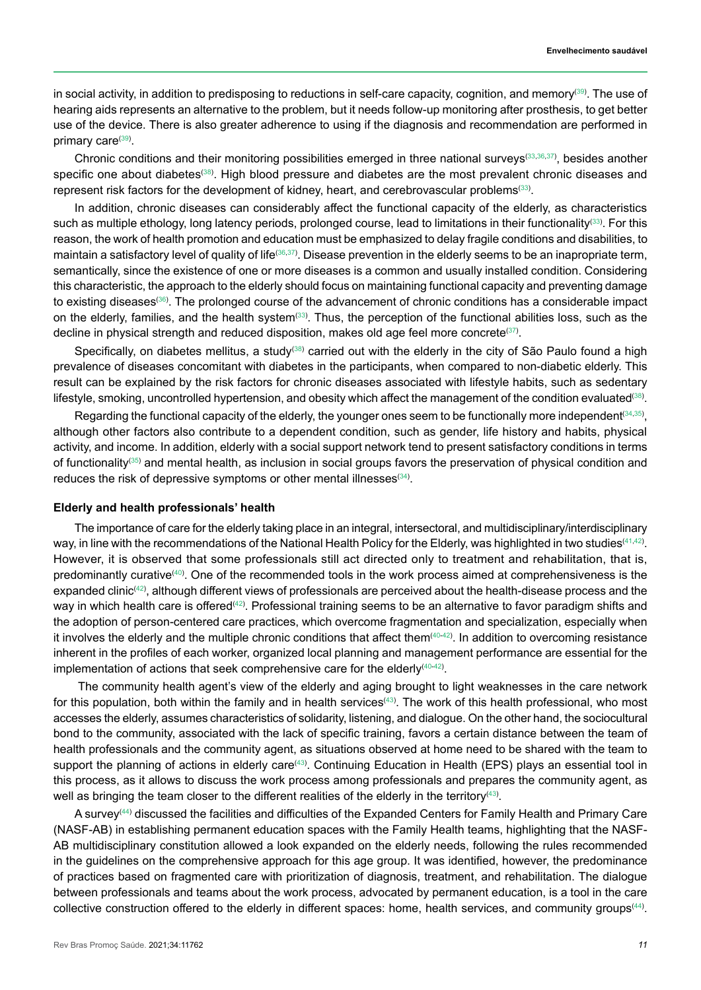in social activity, in addition to predisposing to reductions in self-care capacity, cognition, and memory([39](#page-13-10)). The use of hearing aids represents an alternative to the problem, but it needs follow-up monitoring after prosthesis, to get better use of the device. There is also greater adherence to using if the diagnosis and recommendation are performed in primary care<sup>([39](#page-13-10))</sup>.

Chronic conditions and their monitoring possibilities emerged in three national surveys<sup>[\(33,](#page-13-4)[36](#page-13-7)[,37\)](#page-13-8)</sup>, besides another specific one about diabetes $^{\text{\tiny{(38)}}}$  $^{\text{\tiny{(38)}}}$  $^{\text{\tiny{(38)}}}$ . High blood pressure and diabetes are the most prevalent chronic diseases and represent risk factors for the development of kidney, heart, and cerebrovascular problems $^{\text{\tiny (33)}}$  $^{\text{\tiny (33)}}$  $^{\text{\tiny (33)}}$ .

In addition, chronic diseases can considerably affect the functional capacity of the elderly, as characteristics such as multiple ethology, long latency periods, prolonged course, lead to limitations in their functionality. For this reason, the work of health promotion and education must be emphasized to delay fragile conditions and disabilities, to maintain a satisfactory level of quality of lifeേ®, $^{37)}$  $^{37)}$  $^{37)}$ . Disease prevention in the elderly seems to be an inapropriate term, semantically, since the existence of one or more diseases is a common and usually installed condition. Considering this characteristic, the approach to the elderly should focus on maintaining functional capacity and preventing damage to existing diseases<sup>([36](#page-13-7))</sup>. The prolonged course of the advancement of chronic conditions has a considerable impact on the elderly, families, and the health system $^{\text{\tiny{(33)}}}.$  $^{\text{\tiny{(33)}}}.$  $^{\text{\tiny{(33)}}}.$  Thus, the perception of the functional abilities loss, such as the decline in physical strength and reduced disposition, makes old age feel more concrete $^{\text{\tiny (37)}}$  $^{\text{\tiny (37)}}$  $^{\text{\tiny (37)}}$ .

Specifically, on diabetes mellitus, a study<sup>([38](#page-13-9))</sup> carried out with the elderly in the city of São Paulo found a high prevalence of diseases concomitant with diabetes in the participants, when compared to non-diabetic elderly. This result can be explained by the risk factors for chronic diseases associated with lifestyle habits, such as sedentary lifestyle, smoking, uncontrolled hypertension, and obesity which affect the management of the condition evaluated $^{\text{\tiny (38)}}$  $^{\text{\tiny (38)}}$  $^{\text{\tiny (38)}}$ .

Regarding the functional capacity of the elderly, the younger ones seem to be functionally more independent $^{(34,35)},$  $^{(34,35)},$  $^{(34,35)},$  $^{(34,35)},$  $^{(34,35)},$ although other factors also contribute to a dependent condition, such as gender, life history and habits, physical activity, and income. In addition, elderly with a social support network tend to present satisfactory conditions in terms of functionality<sup>[\(35\)](#page-13-6)</sup> and mental health, as inclusion in social groups favors the preservation of physical condition and reduces the risk of depressive symptoms or other mental illnesses $^{\scriptscriptstyle{\mathrm{(34)}}}$  $^{\scriptscriptstyle{\mathrm{(34)}}}$  $^{\scriptscriptstyle{\mathrm{(34)}}}$ .

### **Elderly and health professionals' health**

The importance of care for the elderly taking place in an integral, intersectoral, and multidisciplinary/interdisciplinary way, in line with the recommendations of the National Health Policy for the Elderly, was highlighted in two studies([41](#page-13-12),[42](#page-13-13)) . However, it is observed that some professionals still act directed only to treatment and rehabilitation, that is, predominantly curative<sup>[\(40\)](#page-13-11)</sup>. One of the recommended tools in the work process aimed at comprehensiveness is the expanded clinic $^{(42)}$  $^{(42)}$  $^{(42)}$ , although different views of professionals are perceived about the health-disease process and the way in which health care is offered $^{(42)}$  $^{(42)}$  $^{(42)}$ . Professional training seems to be an alternative to favor paradigm shifts and the adoption of person-centered care practices, which overcome fragmentation and specialization, especially when it involves the elderly and the multiple chronic conditions that affect them $^{(40\!-\!42)}$  $^{(40\!-\!42)}$  $^{(40\!-\!42)}$  $^{(40\!-\!42)}$  $^{(40\!-\!42)}$ . In addition to overcoming resistance inherent in the profiles of each worker, organized local planning and management performance are essential for the implementation of actions that seek comprehensive care for the elderly<sup>[\(40-](#page-13-11)[42](#page-13-13))</sup>.

 The community health agent's view of the elderly and aging brought to light weaknesses in the care network for this population, both within the family and in health services[43](#page-13-14). The work of this health professional, who most accesses the elderly, assumes characteristics of solidarity, listening, and dialogue. On the other hand, the sociocultural bond to the community, associated with the lack of specific training, favors a certain distance between the team of health professionals and the community agent, as situations observed at home need to be shared with the team to support the planning of actions in elderly care<sup>[\(43\)](#page-13-14)</sup>. Continuing Education in Health (EPS) plays an essential tool in this process, as it allows to discuss the work process among professionals and prepares the community agent, as well as bringing the team closer to the different realities of the elderly in the territory $^{(43)}$  $^{(43)}$  $^{(43)}$ .

A survey $^{(44)}$  $^{(44)}$  $^{(44)}$  discussed the facilities and difficulties of the Expanded Centers for Family Health and Primary Care (NASF-AB) in establishing permanent education spaces with the Family Health teams, highlighting that the NASF-AB multidisciplinary constitution allowed a look expanded on the elderly needs, following the rules recommended in the guidelines on the comprehensive approach for this age group. It was identified, however, the predominance of practices based on fragmented care with prioritization of diagnosis, treatment, and rehabilitation. The dialogue between professionals and teams about the work process, advocated by permanent education, is a tool in the care collective construction offered to the elderly in different spaces: home, health services, and community groups<sup>([44](#page-13-15))</sup>.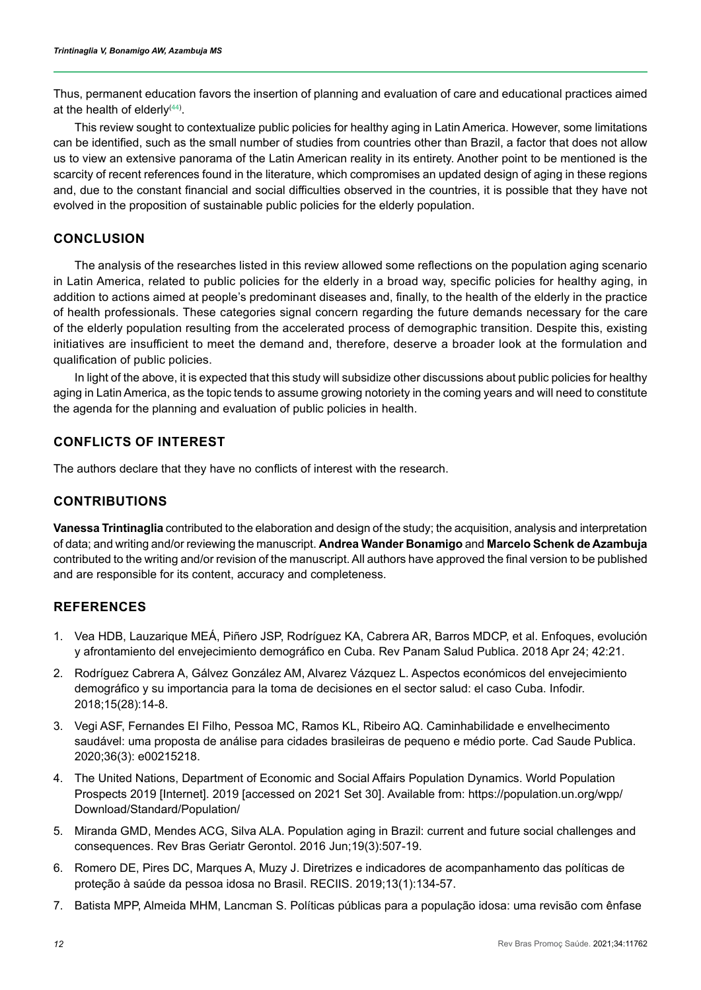Thus, permanent education favors the insertion of planning and evaluation of care and educational practices aimed at the health of elderly $^{(44)}$  $^{(44)}$  $^{(44)}$ .

This review sought to contextualize public policies for healthy aging in Latin America. However, some limitations can be identified, such as the small number of studies from countries other than Brazil, a factor that does not allow us to view an extensive panorama of the Latin American reality in its entirety. Another point to be mentioned is the scarcity of recent references found in the literature, which compromises an updated design of aging in these regions and, due to the constant financial and social difficulties observed in the countries, it is possible that they have not evolved in the proposition of sustainable public policies for the elderly population.

# **CONCLUSION**

The analysis of the researches listed in this review allowed some reflections on the population aging scenario in Latin America, related to public policies for the elderly in a broad way, specific policies for healthy aging, in addition to actions aimed at people's predominant diseases and, finally, to the health of the elderly in the practice of health professionals. These categories signal concern regarding the future demands necessary for the care of the elderly population resulting from the accelerated process of demographic transition. Despite this, existing initiatives are insufficient to meet the demand and, therefore, deserve a broader look at the formulation and qualification of public policies.

In light of the above, it is expected that this study will subsidize other discussions about public policies for healthy aging in Latin America, as the topic tends to assume growing notoriety in the coming years and will need to constitute the agenda for the planning and evaluation of public policies in health.

# **CONFLICTS OF INTEREST**

The authors declare that they have no conflicts of interest with the research.

# **CONTRIBUTIONS**

**Vanessa Trintinaglia** contributed to the elaboration and design of the study; the acquisition, analysis and interpretation of data; and writing and/or reviewing the manuscript. **Andrea Wander Bonamigo** and **Marcelo Schenk de Azambuja** contributed to the writing and/or revision of the manuscript. All authors have approved the final version to be published and are responsible for its content, accuracy and completeness.

# **REFERENCES**

- <span id="page-11-0"></span>1. Vea HDB, Lauzarique MEÁ, Piñero JSP, Rodríguez KA, Cabrera AR, Barros MDCP, et al. Enfoques, evolución y afrontamiento del envejecimiento demográfico en Cuba. Rev Panam Salud Publica. 2018 Apr 24; 42:21.
- 2. Rodríguez Cabrera A, Gálvez González AM, Alvarez Vázquez L. Aspectos económicos del envejecimiento demográfico y su importancia para la toma de decisiones en el sector salud: el caso Cuba. Infodir. 2018;15(28):14-8.
- <span id="page-11-1"></span>3. Vegi ASF, Fernandes EI Filho, Pessoa MC, Ramos KL, Ribeiro AQ. Caminhabilidade e envelhecimento saudável: uma proposta de análise para cidades brasileiras de pequeno e médio porte. Cad Saude Publica. 2020;36(3): e00215218.
- <span id="page-11-2"></span>4. The United Nations, Department of Economic and Social Affairs Population Dynamics. World Population Prospects 2019 [Internet]. 2019 [accessed on 2021 Set 30]. Available from: https://population.un.org/wpp/ Download/Standard/Population/
- <span id="page-11-3"></span>5. Miranda GMD, Mendes ACG, Silva ALA. Population aging in Brazil: current and future social challenges and consequences. Rev Bras Geriatr Gerontol. 2016 Jun;19(3):507-19.
- <span id="page-11-4"></span>6. Romero DE, Pires DC, Marques A, Muzy J. Diretrizes e indicadores de acompanhamento das políticas de proteção à saúde da pessoa idosa no Brasil. RECIIS. 2019;13(1):134-57.
- <span id="page-11-5"></span>7. Batista MPP, Almeida MHM, Lancman S. Políticas públicas para a população idosa: uma revisão com ênfase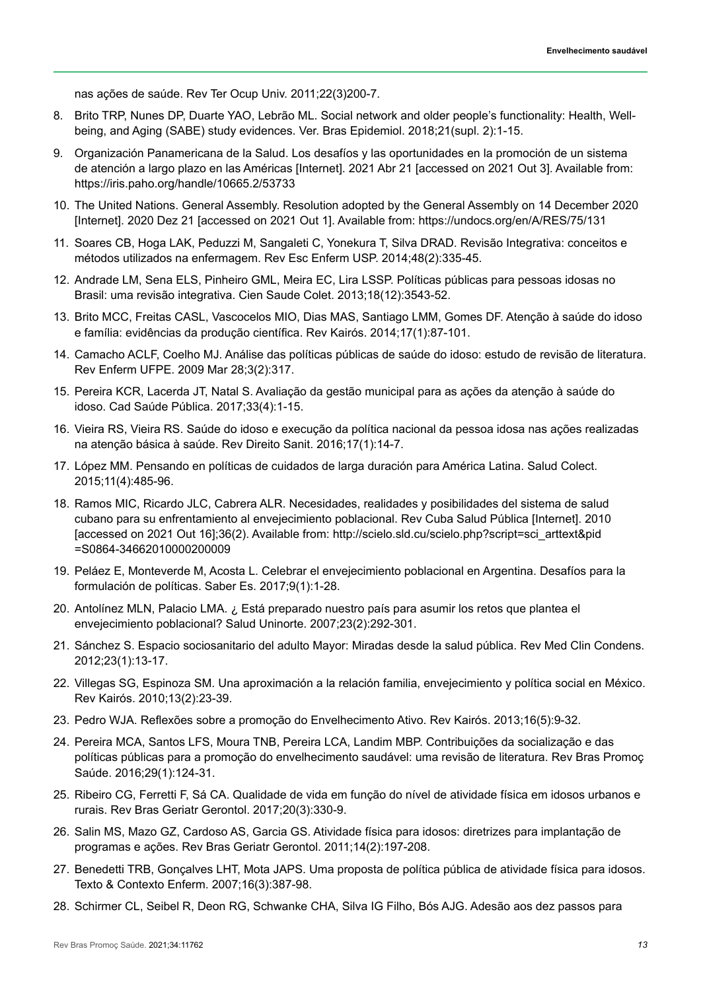nas ações de saúde. Rev Ter Ocup Univ. 2011;22(3)200-7.

- <span id="page-12-0"></span>8. Brito TRP, Nunes DP, Duarte YAO, Lebrão ML. Social network and older people's functionality: Health, Wellbeing, and Aging (SABE) study evidences. Ver. Bras Epidemiol. 2018;21(supl. 2):1-15.
- <span id="page-12-1"></span>9. Organización Panamericana de la Salud. Los desafíos y las oportunidades en la promoción de un sistema de atención a largo plazo en las Américas [Internet]. 2021 Abr 21 [accessed on 2021 Out 3]. Available from: https://iris.paho.org/handle/10665.2/53733
- <span id="page-12-2"></span>10. The United Nations. General Assembly. Resolution adopted by the General Assembly on 14 December 2020 [Internet]. 2020 Dez 21 [accessed on 2021 Out 1]. Available from: https://undocs.org/en/A/RES/75/131
- 11. Soares CB, Hoga LAK, Peduzzi M, Sangaleti C, Yonekura T, Silva DRAD. Revisão Integrativa: conceitos e métodos utilizados na enfermagem. Rev Esc Enferm USP. 2014;48(2):335-45.
- <span id="page-12-3"></span>12. Andrade LM, Sena ELS, Pinheiro GML, Meira EC, Lira LSSP. Políticas públicas para pessoas idosas no Brasil: uma revisão integrativa. Cien Saude Colet. 2013;18(12):3543-52.
- <span id="page-12-4"></span>13. Brito MCC, Freitas CASL, Vascocelos MIO, Dias MAS, Santiago LMM, Gomes DF. Atenção à saúde do idoso e família: evidências da produção científica. Rev Kairós. 2014;17(1):87-101.
- <span id="page-12-5"></span>14. Camacho ACLF, Coelho MJ. Análise das políticas públicas de saúde do idoso: estudo de revisão de literatura. Rev Enferm UFPE. 2009 Mar 28;3(2):317.
- <span id="page-12-6"></span>15. Pereira KCR, Lacerda JT, Natal S. Avaliação da gestão municipal para as ações da atenção à saúde do idoso. Cad Saúde Pública. 2017;33(4):1-15.
- <span id="page-12-7"></span>16. Vieira RS, Vieira RS. Saúde do idoso e execução da política nacional da pessoa idosa nas ações realizadas na atenção básica à saúde. Rev Direito Sanit. 2016;17(1):14-7.
- <span id="page-12-8"></span>17. López MM. Pensando en políticas de cuidados de larga duración para América Latina. Salud Colect. 2015;11(4):485-96.
- <span id="page-12-9"></span>18. Ramos MIC, Ricardo JLC, Cabrera ALR. Necesidades, realidades y posibilidades del sistema de salud cubano para su enfrentamiento al envejecimiento poblacional. Rev Cuba Salud Pública [Internet]. 2010 [accessed on 2021 Out 16];36(2). Available from: http://scielo.sld.cu/scielo.php?script=sci\_arttext&pid =S0864-34662010000200009
- <span id="page-12-10"></span>19. Peláez E, Monteverde M, Acosta L. Celebrar el envejecimiento poblacional en Argentina. Desafíos para la formulación de políticas. Saber Es. 2017;9(1):1-28.
- <span id="page-12-11"></span>20. Antolínez MLN, Palacio LMA. ¿ Está preparado nuestro país para asumir los retos que plantea el envejecimiento poblacional? Salud Uninorte. 2007;23(2):292-301.
- <span id="page-12-12"></span>21. Sánchez S. Espacio sociosanitario del adulto Mayor: Miradas desde la salud pública. Rev Med Clin Condens. 2012;23(1):13-17.
- <span id="page-12-13"></span>22. Villegas SG, Espinoza SM. Una aproximación a la relación familia, envejecimiento y política social en México. Rev Kairós. 2010;13(2):23-39.
- <span id="page-12-14"></span>23. Pedro WJA. Reflexões sobre a promoção do Envelhecimento Ativo. Rev Kairós. 2013;16(5):9-32.
- <span id="page-12-15"></span>24. Pereira MCA, Santos LFS, Moura TNB, Pereira LCA, Landim MBP. Contribuições da socialização e das políticas públicas para a promoção do envelhecimento saudável: uma revisão de literatura. Rev Bras Promoç Saúde. 2016;29(1):124-31.
- <span id="page-12-16"></span>25. Ribeiro CG, Ferretti F, Sá CA. Qualidade de vida em função do nível de atividade física em idosos urbanos e rurais. Rev Bras Geriatr Gerontol. 2017;20(3):330-9.
- <span id="page-12-17"></span>26. Salin MS, Mazo GZ, Cardoso AS, Garcia GS. Atividade física para idosos: diretrizes para implantação de programas e ações. Rev Bras Geriatr Gerontol. 2011;14(2):197-208.
- <span id="page-12-18"></span>27. Benedetti TRB, Gonçalves LHT, Mota JAPS. Uma proposta de política pública de atividade física para idosos. Texto & Contexto Enferm. 2007;16(3):387-98.
- <span id="page-12-19"></span>28. Schirmer CL, Seibel R, Deon RG, Schwanke CHA, Silva IG Filho, Bós AJG. Adesão aos dez passos para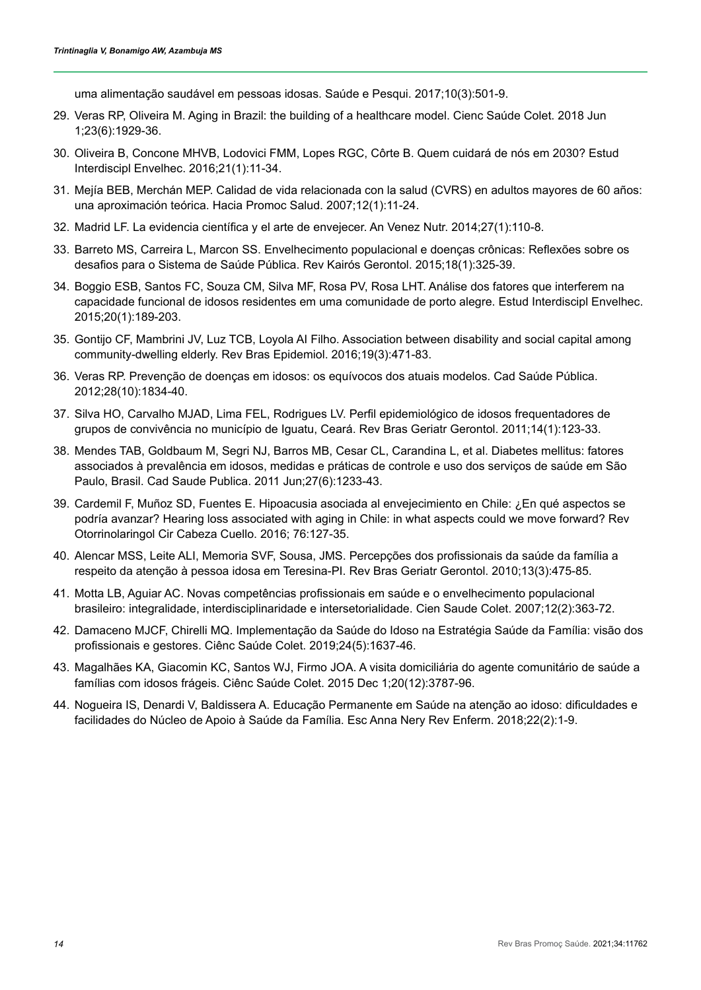uma alimentação saudável em pessoas idosas. Saúde e Pesqui. 2017;10(3):501-9.

- <span id="page-13-0"></span>29. Veras RP, Oliveira M. Aging in Brazil: the building of a healthcare model. Cienc Saúde Colet. 2018 Jun 1;23(6):1929-36.
- <span id="page-13-1"></span>30. Oliveira B, Concone MHVB, Lodovici FMM, Lopes RGC, Côrte B. Quem cuidará de nós em 2030? Estud Interdiscipl Envelhec. 2016;21(1):11-34.
- <span id="page-13-2"></span>31. Mejía BEB, Merchán MEP. Calidad de vida relacionada con la salud (CVRS) en adultos mayores de 60 años: una aproximación teórica. Hacia Promoc Salud. 2007;12(1):11-24.
- <span id="page-13-3"></span>32. Madrid LF. La evidencia científica y el arte de envejecer. An Venez Nutr. 2014;27(1):110-8.
- <span id="page-13-4"></span>33. Barreto MS, Carreira L, Marcon SS. Envelhecimento populacional e doenças crônicas: Reflexões sobre os desafios para o Sistema de Saúde Pública. Rev Kairós Gerontol. 2015;18(1):325-39.
- <span id="page-13-5"></span>34. Boggio ESB, Santos FC, Souza CM, Silva MF, Rosa PV, Rosa LHT. Análise dos fatores que interferem na capacidade funcional de idosos residentes em uma comunidade de porto alegre. Estud Interdiscipl Envelhec. 2015;20(1):189-203.
- <span id="page-13-6"></span>35. Gontijo CF, Mambrini JV, Luz TCB, Loyola AI Filho. Association between disability and social capital among community-dwelling elderly. Rev Bras Epidemiol. 2016;19(3):471-83.
- <span id="page-13-7"></span>36. Veras RP. Prevenção de doenças em idosos: os equívocos dos atuais modelos. Cad Saúde Pública. 2012;28(10):1834-40.
- <span id="page-13-8"></span>37. Silva HO, Carvalho MJAD, Lima FEL, Rodrigues LV. Perfil epidemiológico de idosos frequentadores de grupos de convivência no município de Iguatu, Ceará. Rev Bras Geriatr Gerontol. 2011;14(1):123-33.
- <span id="page-13-9"></span>38. Mendes TAB, Goldbaum M, Segri NJ, Barros MB, Cesar CL, Carandina L, et al. Diabetes mellitus: fatores associados à prevalência em idosos, medidas e práticas de controle e uso dos serviços de saúde em São Paulo, Brasil. Cad Saude Publica. 2011 Jun;27(6):1233-43.
- <span id="page-13-10"></span>39. Cardemil F, Muñoz SD, Fuentes E. Hipoacusia asociada al envejecimiento en Chile: ¿En qué aspectos se podría avanzar? Hearing loss associated with aging in Chile: in what aspects could we move forward? Rev Otorrinolaringol Cir Cabeza Cuello. 2016; 76:127-35.
- <span id="page-13-11"></span>40. Alencar MSS, Leite ALI, Memoria SVF, Sousa, JMS. Percepções dos profissionais da saúde da família a respeito da atenção à pessoa idosa em Teresina-PI. Rev Bras Geriatr Gerontol. 2010;13(3):475-85.
- <span id="page-13-12"></span>41. Motta LB, Aguiar AC. Novas competências profissionais em saúde e o envelhecimento populacional brasileiro: integralidade, interdisciplinaridade e intersetorialidade. Cien Saude Colet. 2007;12(2):363-72.
- <span id="page-13-13"></span>42. Damaceno MJCF, Chirelli MQ. Implementação da Saúde do Idoso na Estratégia Saúde da Família: visão dos profissionais e gestores. Ciênc Saúde Colet. 2019;24(5):1637-46.
- <span id="page-13-14"></span>43. Magalhães KA, Giacomin KC, Santos WJ, Firmo JOA. A visita domiciliária do agente comunitário de saúde a famílias com idosos frágeis. Ciênc Saúde Colet. 2015 Dec 1;20(12):3787-96.
- <span id="page-13-15"></span>44. Nogueira IS, Denardi V, Baldissera A. Educação Permanente em Saúde na atenção ao idoso: dificuldades e facilidades do Núcleo de Apoio à Saúde da Família. Esc Anna Nery Rev Enferm. 2018;22(2):1-9.